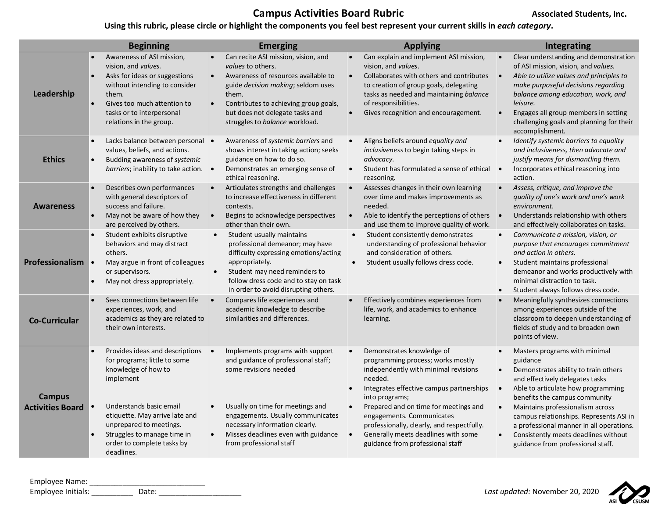## **Campus Activities Board Rubric Campus Associated Students, Inc.**

## **Using this rubric, please circle or highlight the components you feel best represent your current skills in** *each category***.**

|                                          | <b>Beginning</b>                                                                                                                                                                                                   | <b>Emerging</b>                                                                                                                                                                                                                                                     | <b>Applying</b>                                                                                                                                                                                                                                                                          | Integrating                                                                                                                                                                                                                                                                                                                           |
|------------------------------------------|--------------------------------------------------------------------------------------------------------------------------------------------------------------------------------------------------------------------|---------------------------------------------------------------------------------------------------------------------------------------------------------------------------------------------------------------------------------------------------------------------|------------------------------------------------------------------------------------------------------------------------------------------------------------------------------------------------------------------------------------------------------------------------------------------|---------------------------------------------------------------------------------------------------------------------------------------------------------------------------------------------------------------------------------------------------------------------------------------------------------------------------------------|
| Leadership                               | Awareness of ASI mission,<br>vision, and values.<br>Asks for ideas or suggestions<br>without intending to consider<br>them.<br>Gives too much attention to<br>tasks or to interpersonal<br>relations in the group. | Can recite ASI mission, vision, and<br><i>values</i> to others.<br>Awareness of resources available to<br>guide decision making; seldom uses<br>them.<br>Contributes to achieving group goals,<br>but does not delegate tasks and<br>struggles to balance workload. | Can explain and implement ASI mission,<br>$\bullet$<br>vision, and values.<br>Collaborates with others and contributes<br>$\bullet$<br>to creation of group goals, delegating<br>tasks as needed and maintaining balance<br>of responsibilities.<br>Gives recognition and encouragement. | Clear understanding and demonstration<br>of ASI mission, vision, and values.<br>Able to utilize values and principles to<br>$\bullet$<br>make purposeful decisions regarding<br>balance among education, work, and<br>leisure.<br>Engages all group members in setting<br>challenging goals and planning for their<br>accomplishment. |
| <b>Ethics</b>                            | Lacks balance between personal •<br>values, beliefs, and actions.<br>Budding awareness of systemic<br>barriers; inability to take action. $\bullet$                                                                | Awareness of systemic barriers and<br>shows interest in taking action; seeks<br>guidance on how to do so.<br>Demonstrates an emerging sense of<br>ethical reasoning.                                                                                                | Aligns beliefs around equality and<br>inclusiveness to begin taking steps in<br>advocacy.<br>Student has formulated a sense of ethical<br>$\bullet$<br>reasoning.                                                                                                                        | Identify systemic barriers to equality<br>and inclusiveness, then advocate and<br>justify means for dismantling them.<br>Incorporates ethical reasoning into<br>$\bullet$<br>action.                                                                                                                                                  |
| <b>Awareness</b>                         | Describes own performances<br>with general descriptors of<br>success and failure.<br>May not be aware of how they<br>are perceived by others.                                                                      | Articulates strengths and challenges<br>to increase effectiveness in different<br>contexts.<br>Begins to acknowledge perspectives<br>$\bullet$<br>other than their own.                                                                                             | Assesses changes in their own learning<br>$\bullet$<br>over time and makes improvements as<br>needed.<br>Able to identify the perceptions of others<br>$\bullet$<br>and use them to improve quality of work.                                                                             | Assess, critique, and improve the<br>quality of one's work and one's work<br>environment.<br>Understands relationship with others<br>$\bullet$<br>and effectively collaborates on tasks.                                                                                                                                              |
| Professionalism                          | Student exhibits disruptive<br>behaviors and may distract<br>others.<br>May argue in front of colleagues<br>or supervisors.<br>May not dress appropriately.                                                        | Student usually maintains<br>professional demeanor; may have<br>difficulty expressing emotions/acting<br>appropriately.<br>Student may need reminders to<br>$\bullet$<br>follow dress code and to stay on task<br>in order to avoid disrupting others.              | Student consistently demonstrates<br>$\bullet$<br>understanding of professional behavior<br>and consideration of others.<br>Student usually follows dress code.<br>$\bullet$                                                                                                             | Communicate a mission, vision, or<br>$\bullet$<br>purpose that encourages commitment<br>and action in others.<br>Student maintains professional<br>demeanor and works productively with<br>minimal distraction to task.<br>Student always follows dress code.                                                                         |
| <b>Co-Curricular</b>                     | Sees connections between life<br>experiences, work, and<br>academics as they are related to<br>their own interests.                                                                                                | Compares life experiences and<br>academic knowledge to describe<br>similarities and differences.                                                                                                                                                                    | Effectively combines experiences from<br>life, work, and academics to enhance<br>learning.                                                                                                                                                                                               | Meaningfully synthesizes connections<br>among experiences outside of the<br>classroom to deepen understanding of<br>fields of study and to broaden own<br>points of view.                                                                                                                                                             |
| <b>Campus</b><br><b>Activities Board</b> | Provides ideas and descriptions •<br>for programs; little to some<br>knowledge of how to<br>implement                                                                                                              | Implements programs with support<br>and guidance of professional staff;<br>some revisions needed                                                                                                                                                                    | Demonstrates knowledge of<br>$\bullet$<br>programming process; works mostly<br>independently with minimal revisions<br>needed.<br>Integrates effective campus partnerships<br>into programs;                                                                                             | Masters programs with minimal<br>guidance<br>Demonstrates ability to train others<br>and effectively delegates tasks<br>Able to articulate how programming<br>$\bullet$<br>benefits the campus community                                                                                                                              |
|                                          | Understands basic email<br>etiquette. May arrive late and<br>unprepared to meetings.<br>Struggles to manage time in<br>order to complete tasks by<br>deadlines.                                                    | Usually on time for meetings and<br>$\bullet$<br>engagements. Usually communicates<br>necessary information clearly.<br>Misses deadlines even with guidance<br>from professional staff                                                                              | Prepared and on time for meetings and<br>$\bullet$<br>engagements. Communicates<br>professionally, clearly, and respectfully.<br>Generally meets deadlines with some<br>$\bullet$<br>guidance from professional staff                                                                    | Maintains professionalism across<br>campus relationships. Represents ASI in<br>a professional manner in all operations.<br>Consistently meets deadlines without<br>guidance from professional staff.                                                                                                                                  |